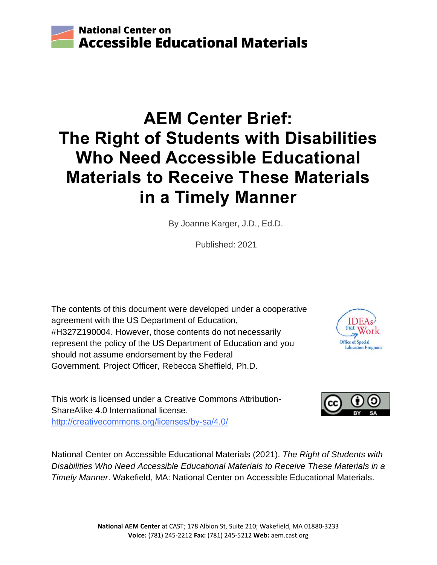

# **AEM Center Brief: The Right of Students with Disabilities Who Need Accessible Educational Materials to Receive These Materials in a Timely Manner**

By Joanne Karger, J.D., Ed.D.

Published: 2021

The contents of this document were developed under a cooperative agreement with the US Department of Education, #H327Z190004. However, those contents do not necessarily represent the policy of the US Department of Education and you should not assume endorsement by the Federal Government. Project Officer, Rebecca Sheffield, Ph.D.



This work is licensed under a Creative Commons Attribution-ShareAlike 4.0 International license. <http://creativecommons.org/licenses/by-sa/4.0/>

National Center on Accessible Educational Materials (2021). *The Right of Students with Disabilities Who Need Accessible Educational Materials to Receive These Materials in a Timely Manner*. Wakefield, MA: National Center on Accessible Educational Materials.

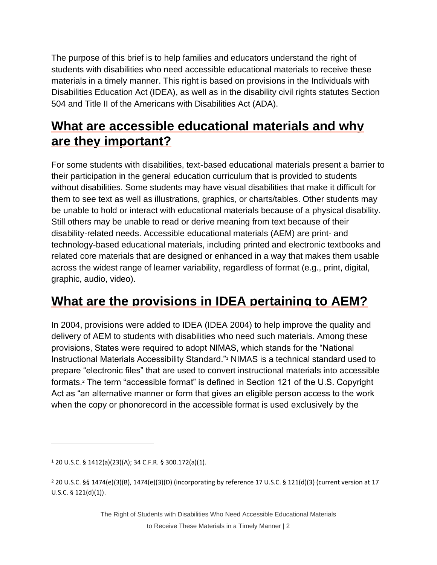The purpose of this brief is to help families and educators understand the right of students with disabilities who need accessible educational materials to receive these materials in a timely manner. This right is based on provisions in the Individuals with Disabilities Education Act (IDEA), as well as in the disability civil rights statutes Section 504 and Title II of the Americans with Disabilities Act (ADA).

# **What are accessible educational materials and why are they important?**

For some students with disabilities, text-based educational materials present a barrier to their participation in the general education curriculum that is provided to students without disabilities. Some students may have visual disabilities that make it difficult for them to see text as well as illustrations, graphics, or charts/tables. Other students may be unable to hold or interact with educational materials because of a physical disability. Still others may be unable to read or derive meaning from text because of their disability-related needs. Accessible educational materials (AEM) are print- and technology-based educational materials, including printed and electronic textbooks and related core materials that are designed or enhanced in a way that makes them usable across the widest range of learner variability, regardless of format (e.g., print, digital, graphic, audio, video).

# **What are the provisions in IDEA pertaining to AEM?**

In 2004, provisions were added to IDEA (IDEA 2004) to help improve the quality and delivery of AEM to students with disabilities who need such materials. Among these provisions, States were required to adopt NIMAS, which stands for the "National Instructional Materials Accessibility Standard."<sup>1</sup> NIMAS is a technical standard used to prepare "electronic files" that are used to convert instructional materials into accessible formats.<sup>2</sup> The term "accessible format" is defined in Section 121 of the U.S. Copyright Act as "an alternative manner or form that gives an eligible person access to the work when the copy or phonorecord in the accessible format is used exclusively by the

<sup>1</sup> 20 U.S.C. § 1412(a)(23)(A); 34 C.F.R. § 300.172(a)(1).

<sup>2</sup> 20 U.S.C. §§ 1474(e)(3)(B), 1474(e)(3)(D) (incorporating by reference 17 U.S.C. § 121(d)(3) (current version at 17 U.S.C. § 121(d)(1)).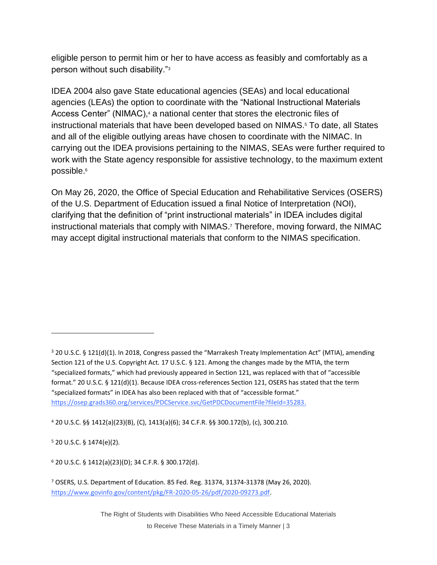eligible person to permit him or her to have access as feasibly and comfortably as a person without such disability."<sup>3</sup>

IDEA 2004 also gave State educational agencies (SEAs) and local educational agencies (LEAs) the option to coordinate with the "National Instructional Materials Access Center" (NIMAC),<sup>4</sup> a national center that stores the electronic files of instructional materials that have been developed based on NIMAS.<sup>5</sup> To date, all States and all of the eligible outlying areas have chosen to coordinate with the NIMAC. In carrying out the IDEA provisions pertaining to the NIMAS, SEAs were further required to work with the State agency responsible for assistive technology, to the maximum extent possible.<sup>6</sup>

On May 26, 2020, the Office of Special Education and Rehabilitative Services (OSERS) of the U.S. Department of Education issued a final Notice of Interpretation (NOI), clarifying that the definition of "print instructional materials" in IDEA includes digital instructional materials that comply with NIMAS. <sup>7</sup> Therefore, moving forward, the NIMAC may accept digital instructional materials that conform to the NIMAS specification.

<sup>4</sup> 20 U.S.C. §§ 1412(a)(23)(B), (C), 1413(a)(6); 34 C.F.R. §§ 300.172(b), (c), 300.210.

 $5$  20 U.S.C. § 1474(e)(2).

<sup>6</sup> 20 U.S.C. § 1412(a)(23)(D); 34 C.F.R. § 300.172(d).

The Right of Students with Disabilities Who Need Accessible Educational Materials to Receive These Materials in a Timely Manner | 3

<sup>3</sup> 20 U.S.C. § 121(d)(1). In 2018, Congress passed the "Marrakesh Treaty Implementation Act" (MTIA), amending Section 121 of the U.S. Copyright Act. 17 U.S.C. § 121. Among the changes made by the MTIA, the term "specialized formats," which had previously appeared in Section 121, was replaced with that of "accessible format." 20 U.S.C. § 121(d)(1). Because IDEA cross-references Section 121, OSERS has stated that the term "specialized formats" in IDEA has also been replaced with that of "accessible format." [https://osep.grads360.org/services/PDCService.svc/GetPDCDocumentFile?fileId=35283.](https://osep.grads360.org/services/PDCService.svc/GetPDCDocumentFile?fileId=35283)

<sup>7</sup> OSERS, U.S. Department of Education. 85 Fed. Reg. 31374, 31374-31378 (May 26, 2020). [https://www.govinfo.gov/content/pkg/FR-2020-05-26/pdf/2020-09273.pdf.](https://www.govinfo.gov/content/pkg/FR-2020-05-26/pdf/2020-09273.pdf)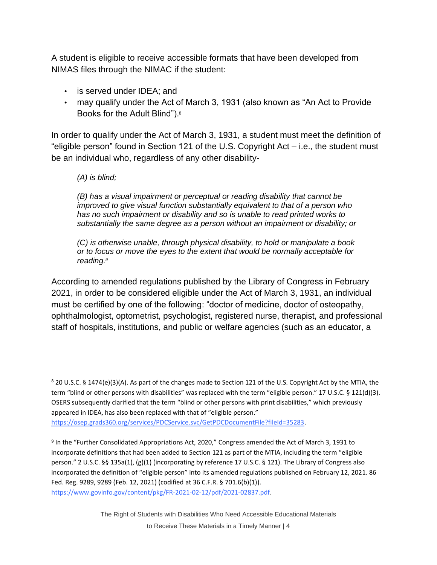A student is eligible to receive accessible formats that have been developed from NIMAS files through the NIMAC if the student:

- is served under IDEA; and
- may qualify under the Act of March 3, 1931 (also known as "An Act to Provide Books for the Adult Blind").<sup>8</sup>

In order to qualify under the Act of March 3, 1931, a student must meet the definition of "eligible person" found in Section 121 of the U.S. Copyright Act – i.e., the student must be an individual who, regardless of any other disability-

#### *(A) is blind;*

*(B) has a visual impairment or perceptual or reading disability that cannot be improved to give visual function substantially equivalent to that of a person who has no such impairment or disability and so is unable to read printed works to substantially the same degree as a person without an impairment or disability; or* 

*(C) is otherwise unable, through physical disability, to hold or manipulate a book or to focus or move the eyes to the extent that would be normally acceptable for reading.<sup>9</sup>*

According to amended regulations published by the Library of Congress in February 2021, in order to be considered eligible under the Act of March 3, 1931, an individual must be certified by one of the following: "doctor of medicine, doctor of osteopathy, ophthalmologist, optometrist, psychologist, registered nurse, therapist, and professional staff of hospitals, institutions, and public or welfare agencies (such as an educator, a

<sup>8</sup> 20 U.S.C. § 1474(e)(3)(A). As part of the changes made to Section 121 of the U.S. Copyright Act by the MTIA, the term "blind or other persons with disabilities" was replaced with the term "eligible person." 17 U.S.C. § 121(d)(3). OSERS subsequently clarified that the term "blind or other persons with print disabilities," which previously appeared in IDEA, has also been replaced with that of "eligible person." [https://osep.grads360.org/services/PDCService.svc/GetPDCDocumentFile?fileId=35283.](https://osep.grads360.org/services/PDCService.svc/GetPDCDocumentFile?fileId=35283)

<sup>&</sup>lt;sup>9</sup> In the "Further Consolidated Appropriations Act, 2020," Congress amended the Act of March 3, 1931 to incorporate definitions that had been added to Section 121 as part of the MTIA, including the term "eligible person." 2 U.S.C. §§ 135a(1), (g)(1) (incorporating by reference 17 U.S.C. § 121). The Library of Congress also incorporated the definition of "eligible person" into its amended regulations published on February 12, 2021. 86 Fed. Reg. 9289, 9289 (Feb. 12, 2021) (codified at 36 C.F.R. § 701.6(b)(1)). [https://www.govinfo.gov/content/pkg/FR-2021-02-12/pdf/2021-02837.pdf.](https://www.govinfo.gov/content/pkg/FR-2021-02-12/pdf/2021-02837.pdf)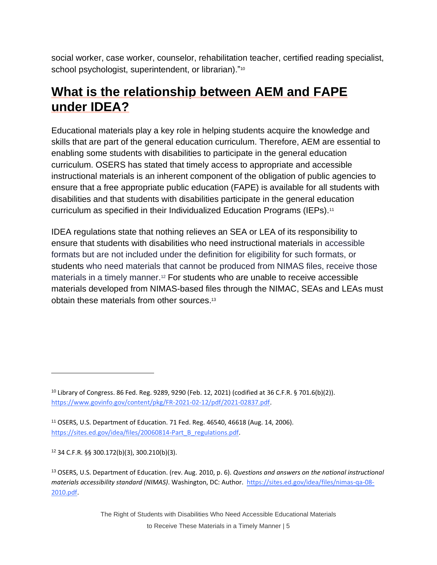social worker, case worker, counselor, rehabilitation teacher, certified reading specialist, school psychologist, superintendent, or librarian)."<sup>10</sup>

#### **What is the relationship between AEM and FAPE under IDEA?**

Educational materials play a key role in helping students acquire the knowledge and skills that are part of the general education curriculum. Therefore, AEM are essential to enabling some students with disabilities to participate in the general education curriculum. OSERS has stated that timely access to appropriate and accessible instructional materials is an inherent component of the obligation of public agencies to ensure that a free appropriate public education (FAPE) is available for all students with disabilities and that students with disabilities participate in the general education curriculum as specified in their Individualized Education Programs (IEPs).<sup>11</sup>

IDEA regulations state that nothing relieves an SEA or LEA of its responsibility to ensure that students with disabilities who need instructional materials in accessible formats but are not included under the definition for eligibility for such formats, or students who need materials that cannot be produced from NIMAS files, receive those materials in a timely manner.<sup>12</sup> For students who are unable to receive accessible materials developed from NIMAS-based files through the NIMAC, SEAs and LEAs must obtain these materials from other sources. 13

<sup>12</sup> 34 C.F.R. §§ 300.172(b)(3), 300.210(b)(3).

<sup>10</sup> Library of Congress. 86 Fed. Reg. 9289, 9290 (Feb. 12, 2021) (codified at 36 C.F.R. § 701.6(b)(2)). [https://www.govinfo.gov/content/pkg/FR-2021-02-12/pdf/2021-02837.pdf.](https://www.govinfo.gov/content/pkg/FR-2021-02-12/pdf/2021-02837.pdf)

<sup>11</sup> OSERS, U.S. Department of Education. 71 Fed. Reg. 46540, 46618 (Aug. 14, 2006). [https://sites.ed.gov/idea/files/20060814-Part\\_B\\_regulations.pdf.](https://sites.ed.gov/idea/files/20060814-Part_B_regulations.pdf)

<sup>13</sup> OSERS, U.S. Department of Education. (rev. Aug. 2010, p. 6). *Questions and answers on the national instructional materials accessibility standard (NIMAS)*. Washington, DC: Author. [https://sites.ed.gov/idea/files/nimas-qa-08-](https://sites.ed.gov/idea/files/nimas-qa-08-2010.pdf) [2010.pdf.](https://sites.ed.gov/idea/files/nimas-qa-08-2010.pdf)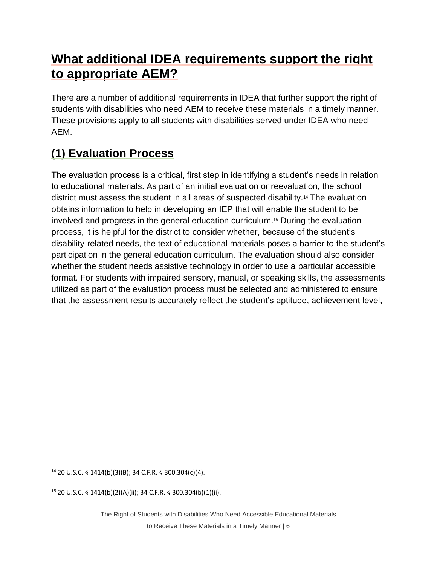# **What additional IDEA requirements support the right to appropriate AEM?**

There are a number of additional requirements in IDEA that further support the right of students with disabilities who need AEM to receive these materials in a timely manner. These provisions apply to all students with disabilities served under IDEA who need AEM.

# **(1) Evaluation Process**

The evaluation process is a critical, first step in identifying a student's needs in relation to educational materials. As part of an initial evaluation or reevaluation, the school district must assess the student in all areas of suspected disability.<sup>14</sup> The evaluation obtains information to help in developing an IEP that will enable the student to be involved and progress in the general education curriculum.<sup>15</sup> During the evaluation process, it is helpful for the district to consider whether, because of the student's disability-related needs, the text of educational materials poses a barrier to the student's participation in the general education curriculum. The evaluation should also consider whether the student needs assistive technology in order to use a particular accessible format. For students with impaired sensory, manual, or speaking skills, the assessments utilized as part of the evaluation process must be selected and administered to ensure that the assessment results accurately reflect the student's aptitude, achievement level,

<sup>14</sup> 20 U.S.C. § 1414(b)(3)(B); 34 C.F.R. § 300.304(c)(4).

<sup>15</sup> 20 U.S.C. § 1414(b)(2)(A)(ii); 34 C.F.R. § 300.304(b)(1)(ii).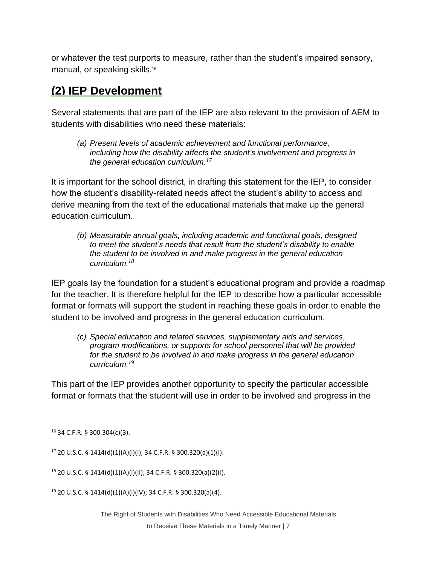or whatever the test purports to measure, rather than the student's impaired sensory, manual, or speaking skills.<sup>16</sup>

#### **(2) IEP Development**

Several statements that are part of the IEP are also relevant to the provision of AEM to students with disabilities who need these materials:

*(a) Present levels of academic achievement and functional performance, including how the disability affects the student's involvement and progress in the general education curriculum.<sup>17</sup>*

It is important for the school district, in drafting this statement for the IEP, to consider how the student's disability-related needs affect the student's ability to access and derive meaning from the text of the educational materials that make up the general education curriculum.

*(b) Measurable annual goals, including academic and functional goals, designed to meet the student's needs that result from the student's disability to enable the student to be involved in and make progress in the general education curriculum.<sup>18</sup>*

IEP goals lay the foundation for a student's educational program and provide a roadmap for the teacher. It is therefore helpful for the IEP to describe how a particular accessible format or formats will support the student in reaching these goals in order to enable the student to be involved and progress in the general education curriculum.

*(c) Special education and related services, supplementary aids and services, program modifications, or supports for school personnel that will be provided for the student to be involved in and make progress in the general education curriculum.<sup>19</sup>*

This part of the IEP provides another opportunity to specify the particular accessible format or formats that the student will use in order to be involved and progress in the

<sup>16</sup> 34 C.F.R. § 300.304(c)(3).

<sup>17</sup> 20 U.S.C. § 1414(d)(1)(A)(i)(I); 34 C.F.R. § 300.320(a)(1)(i).

<sup>18</sup> 20 U.S.C. § 1414(d)(1)(A)(i)(II); 34 C.F.R. § 300.320(a)(2)(i).

<sup>19</sup> 20 U.S.C. § 1414(d)(1)(A)(i)(IV); 34 C.F.R. § 300.320(a)(4).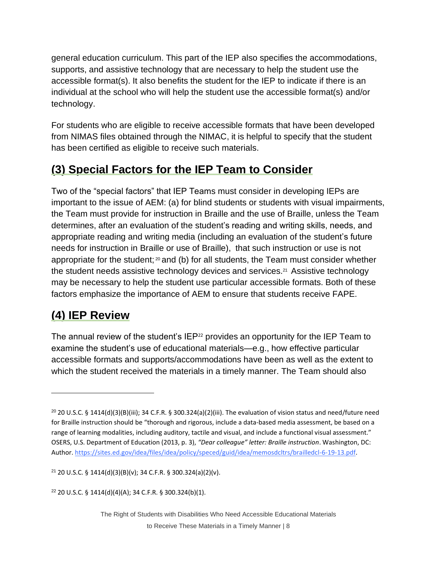general education curriculum. This part of the IEP also specifies the accommodations, supports, and assistive technology that are necessary to help the student use the accessible format(s). It also benefits the student for the IEP to indicate if there is an individual at the school who will help the student use the accessible format(s) and/or technology.

For students who are eligible to receive accessible formats that have been developed from NIMAS files obtained through the NIMAC, it is helpful to specify that the student has been certified as eligible to receive such materials.

#### **(3) Special Factors for the IEP Team to Consider**

Two of the "special factors" that IEP Teams must consider in developing IEPs are important to the issue of AEM: (a) for blind students or students with visual impairments, the Team must provide for instruction in Braille and the use of Braille, unless the Team determines, after an evaluation of the student's reading and writing skills, needs, and appropriate reading and writing media (including an evaluation of the student's future needs for instruction in Braille or use of Braille), that such instruction or use is not appropriate for the student;  $20$  and (b) for all students, the Team must consider whether the student needs assistive technology devices and services.<sup>21</sup> Assistive technology may be necessary to help the student use particular accessible formats. Both of these factors emphasize the importance of AEM to ensure that students receive FAPE.

### **(4) IEP Review**

The annual review of the student's  $IEP<sup>22</sup>$  provides an opportunity for the IEP Team to examine the student's use of educational materials—e.g., how effective particular accessible formats and supports/accommodations have been as well as the extent to which the student received the materials in a timely manner. The Team should also

<sup>&</sup>lt;sup>20</sup> 20 U.S.C. § 1414(d)(3)(B)(iii); 34 C.F.R. § 300.324(a)(2)(iii). The evaluation of vision status and need/future need for Braille instruction should be "thorough and rigorous, include a data-based media assessment, be based on a range of learning modalities, including auditory, tactile and visual, and include a functional visual assessment." OSERS, U.S. Department of Education (2013, p. 3), *"Dear colleague" letter: Braille instruction*. Washington, DC: Author. [https://sites.ed.gov/idea/files/idea/policy/speced/guid/idea/memosdcltrs/brailledcl-6-19-13.pdf.](https://sites.ed.gov/idea/files/idea/policy/speced/guid/idea/memosdcltrs/brailledcl-6-19-13.pdf)

<sup>21</sup> 20 U.S.C. § 1414(d)(3)(B)(v); 34 C.F.R. § 300.324(a)(2)(v).

<sup>22</sup> 20 U.S.C. § 1414(d)(4)(A); 34 C.F.R. § 300.324(b)(1).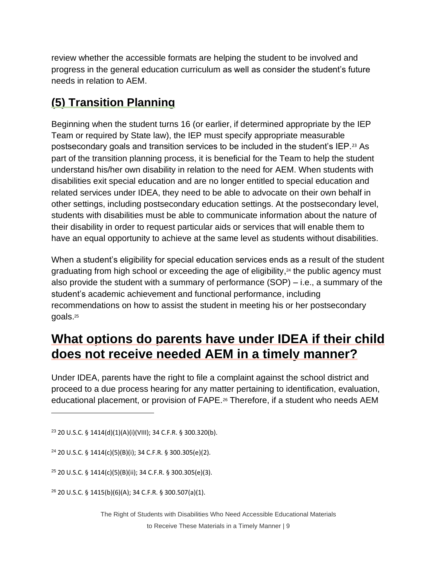review whether the accessible formats are helping the student to be involved and progress in the general education curriculum as well as consider the student's future needs in relation to AEM.

#### **(5) Transition Planning**

Beginning when the student turns 16 (or earlier, if determined appropriate by the IEP Team or required by State law), the IEP must specify appropriate measurable postsecondary goals and transition services to be included in the student's IEP.<sup>23</sup> As part of the transition planning process, it is beneficial for the Team to help the student understand his/her own disability in relation to the need for AEM. When students with disabilities exit special education and are no longer entitled to special education and related services under IDEA, they need to be able to advocate on their own behalf in other settings, including postsecondary education settings. At the postsecondary level, students with disabilities must be able to communicate information about the nature of their disability in order to request particular aids or services that will enable them to have an equal opportunity to achieve at the same level as students without disabilities.

When a student's eligibility for special education services ends as a result of the student graduating from high school or exceeding the age of eligibility, <sup>24</sup> the public agency must also provide the student with a summary of performance (SOP) – i.e., a summary of the student's academic achievement and functional performance, including recommendations on how to assist the student in meeting his or her postsecondary goals.<sup>25</sup>

# **What options do parents have under IDEA if their child does not receive needed AEM in a timely manner?**

Under IDEA, parents have the right to file a complaint against the school district and proceed to a due process hearing for any matter pertaining to identification, evaluation, educational placement, or provision of FAPE.<sup>26</sup> Therefore, if a student who needs AEM

<sup>23</sup> 20 U.S.C. § 1414(d)(1)(A)(i)(VIII); 34 C.F.R. § 300.320(b).

<sup>24</sup> 20 U.S.C. § 1414(c)(5)(B)(i); 34 C.F.R. § 300.305(e)(2).

<sup>25</sup> 20 U.S.C. § 1414(c)(5)(B)(ii); 34 C.F.R. § 300.305(e)(3).

<sup>26</sup> 20 U.S.C. § 1415(b)(6)(A); 34 C.F.R. § 300.507(a)(1).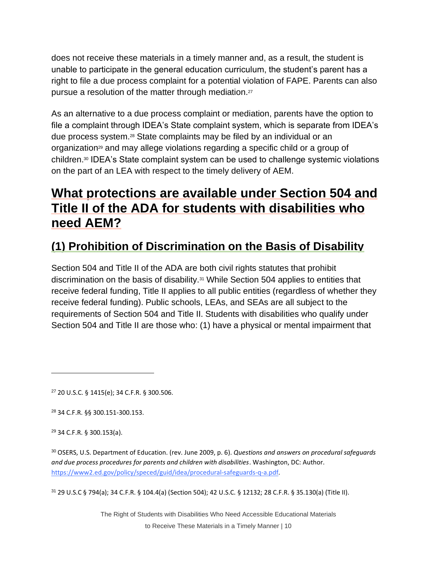does not receive these materials in a timely manner and, as a result, the student is unable to participate in the general education curriculum, the student's parent has a right to file a due process complaint for a potential violation of FAPE. Parents can also pursue a resolution of the matter through mediation.<sup>27</sup>

As an alternative to a due process complaint or mediation, parents have the option to file a complaint through IDEA's State complaint system, which is separate from IDEA's due process system.<sup>28</sup> State complaints may be filed by an individual or an organization<sup>29</sup> and may allege violations regarding a specific child or a group of children.<sup>30</sup> IDEA's State complaint system can be used to challenge systemic violations on the part of an LEA with respect to the timely delivery of AEM.

#### **What protections are available under Section 504 and Title II of the ADA for students with disabilities who need AEM?**

#### **(1) Prohibition of Discrimination on the Basis of Disability**

Section 504 and Title II of the ADA are both civil rights statutes that prohibit discrimination on the basis of disability.<sup>31</sup> While Section 504 applies to entities that receive federal funding, Title II applies to all public entities (regardless of whether they receive federal funding). Public schools, LEAs, and SEAs are all subject to the requirements of Section 504 and Title II. Students with disabilities who qualify under Section 504 and Title II are those who: (1) have a physical or mental impairment that

<sup>27</sup> 20 U.S.C. § 1415(e); 34 C.F.R. § 300.506.

<sup>28</sup> 34 C.F.R. §§ 300.151-300.153.

<sup>29</sup> 34 C.F.R. § 300.153(a).

<sup>30</sup> OSERS, U.S. Department of Education. (rev. June 2009, p. 6). *Questions and answers on procedural safeguards and due process procedures for parents and children with disabilities*. Washington, DC: Author. [https://www2.ed.gov/policy/speced/guid/idea/procedural-safeguards-q-a.pdf.](https://www2.ed.gov/policy/speced/guid/idea/procedural-safeguards-q-a.pdf)

<sup>31</sup> 29 U.S.C § 794(a); 34 C.F.R. § 104.4(a) (Section 504); 42 U.S.C. § 12132; 28 C.F.R. § 35.130(a) (Title II).

The Right of Students with Disabilities Who Need Accessible Educational Materials to Receive These Materials in a Timely Manner | 10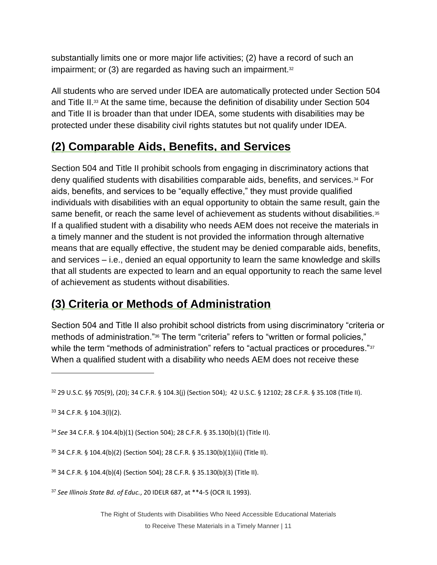substantially limits one or more major life activities; (2) have a record of such an impairment; or  $(3)$  are regarded as having such an impairment. $32$ 

All students who are served under IDEA are automatically protected under Section 504 and Title II.<sup>33</sup> At the same time, because the definition of disability under Section 504 and Title II is broader than that under IDEA, some students with disabilities may be protected under these disability civil rights statutes but not qualify under IDEA.

#### **(2) Comparable Aids, Benefits, and Services**

Section 504 and Title II prohibit schools from engaging in discriminatory actions that deny qualified students with disabilities comparable aids, benefits, and services.<sup>34</sup> For aids, benefits, and services to be "equally effective," they must provide qualified individuals with disabilities with an equal opportunity to obtain the same result, gain the same benefit, or reach the same level of achievement as students without disabilities.<sup>35</sup> If a qualified student with a disability who needs AEM does not receive the materials in a timely manner and the student is not provided the information through alternative means that are equally effective, the student may be denied comparable aids, benefits, and services – i.e., denied an equal opportunity to learn the same knowledge and skills that all students are expected to learn and an equal opportunity to reach the same level of achievement as students without disabilities.

#### **(3) Criteria or Methods of Administration**

Section 504 and Title II also prohibit school districts from using discriminatory "criteria or methods of administration."<sup>36</sup> The term "criteria" refers to "written or formal policies," while the term "methods of administration" refers to "actual practices or procedures."<sup>37</sup> When a qualified student with a disability who needs AEM does not receive these

<sup>34</sup> *See* 34 C.F.R. § 104.4(b)(1) (Section 504); 28 C.F.R. § 35.130(b)(1) (Title II).

<sup>35</sup> 34 C.F.R. § 104.4(b)(2) (Section 504); 28 C.F.R. § 35.130(b)(1)(iii) (Title II).

<sup>36</sup> 34 C.F.R. § 104.4(b)(4) (Section 504); 28 C.F.R. § 35.130(b)(3) (Title II).

<sup>37</sup> *See Illinois State Bd. of Educ.*, 20 IDELR 687, at \*\*4-5 (OCR IL 1993).

The Right of Students with Disabilities Who Need Accessible Educational Materials to Receive These Materials in a Timely Manner | 11

<sup>32</sup> 29 U.S.C. §§ 705(9), (20); 34 C.F.R. § 104.3(j) (Section 504); 42 U.S.C. § 12102; 28 C.F.R. § 35.108 (Title II).

<sup>33</sup> 34 C.F.R. § 104.3(l)(2).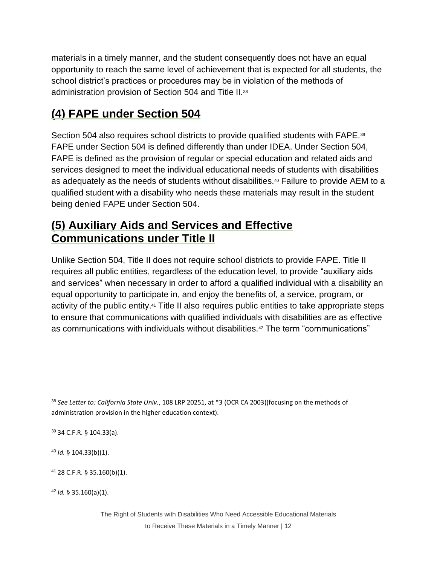materials in a timely manner, and the student consequently does not have an equal opportunity to reach the same level of achievement that is expected for all students, the school district's practices or procedures may be in violation of the methods of administration provision of Section 504 and Title II.<sup>38</sup>

#### **(4) FAPE under Section 504**

Section 504 also requires school districts to provide qualified students with FAPE.<sup>39</sup> FAPE under Section 504 is defined differently than under IDEA. Under Section 504, FAPE is defined as the provision of regular or special education and related aids and services designed to meet the individual educational needs of students with disabilities as adequately as the needs of students without disabilities.<sup>40</sup> Failure to provide AEM to a qualified student with a disability who needs these materials may result in the student being denied FAPE under Section 504.

#### **(5) Auxiliary Aids and Services and Effective Communications under Title II**

Unlike Section 504, Title II does not require school districts to provide FAPE. Title II requires all public entities, regardless of the education level, to provide "auxiliary aids and services" when necessary in order to afford a qualified individual with a disability an equal opportunity to participate in, and enjoy the benefits of, a service, program, or activity of the public entity.<sup>41</sup> Title II also requires public entities to take appropriate steps to ensure that communications with qualified individuals with disabilities are as effective as communications with individuals without disabilities.<sup>42</sup> The term "communications"

<sup>39</sup> 34 C.F.R. § 104.33(a).

<sup>40</sup> *Id.* § 104.33(b)(1).

<sup>38</sup> *See Letter to: California State Univ.*, 108 LRP 20251, at \*3 (OCR CA 2003)(focusing on the methods of administration provision in the higher education context).

<sup>41</sup> 28 C.F.R. § 35.160(b)(1).

<sup>42</sup> *Id.* § 35.160(a)(1).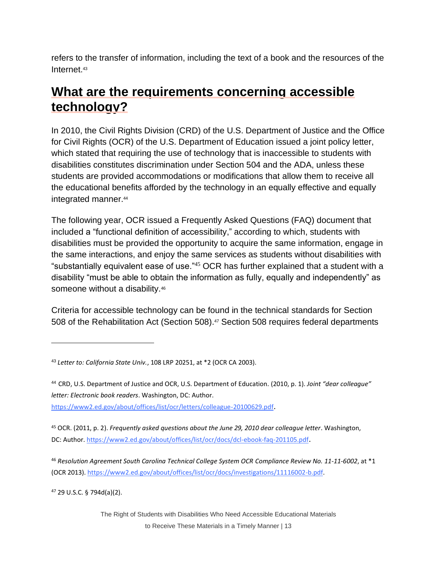refers to the transfer of information, including the text of a book and the resources of the Internet.<sup>43</sup>

# **What are the requirements concerning accessible technology?**

In 2010, the Civil Rights Division (CRD) of the U.S. Department of Justice and the Office for Civil Rights (OCR) of the U.S. Department of Education issued a joint policy letter, which stated that requiring the use of technology that is inaccessible to students with disabilities constitutes discrimination under Section 504 and the ADA, unless these students are provided accommodations or modifications that allow them to receive all the educational benefits afforded by the technology in an equally effective and equally integrated manner.<sup>44</sup>

The following year, OCR issued a Frequently Asked Questions (FAQ) document that included a "functional definition of accessibility," according to which, students with disabilities must be provided the opportunity to acquire the same information, engage in the same interactions, and enjoy the same services as students without disabilities with "substantially equivalent ease of use."<sup>45</sup> OCR has further explained that a student with a disability "must be able to obtain the information as fully, equally and independently" as someone without a disability.<sup>46</sup>

Criteria for accessible technology can be found in the technical standards for Section 508 of the Rehabilitation Act (Section 508). <sup>47</sup> Section 508 requires federal departments

<https://www2.ed.gov/about/offices/list/ocr/letters/colleague-20100629.pdf>.

<sup>45</sup> OCR. (2011, p. 2). *Frequently asked questions about the June 29, 2010 dear colleague letter*. Washington, DC: Author[. https://www2.ed.gov/about/offices/list/ocr/docs/dcl-ebook-faq-201105.pdf](https://www2.ed.gov/about/offices/list/ocr/docs/dcl-ebook-faq-201105.pdf).

<sup>46</sup> *Resolution Agreement South Carolina Technical College System OCR Compliance Review No. 11-11-6002*, at \*1 (OCR 2013). [https://www2.ed.gov/about/offices/list/ocr/docs/investigations/11116002-b.pdf.](https://www2.ed.gov/about/offices/list/ocr/docs/investigations/11116002-b.pdf)

<sup>47</sup> 29 U.S.C. § 794d(a)(2).

<sup>43</sup> *Letter to: California State Univ.*, 108 LRP 20251, at \*2 (OCR CA 2003).

<sup>44</sup> CRD, U.S. Department of Justice and OCR, U.S. Department of Education. (2010, p. 1). *Joint "dear colleague" letter: Electronic book readers*. Washington, DC: Author.